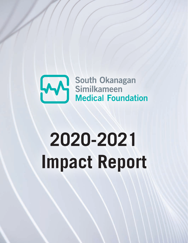

## **2020-2021 Impact Report**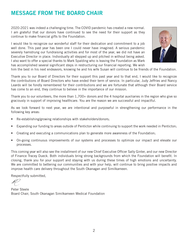## MESSAGE FROM THE BOARD CHAIR

2020-2021 was indeed a challenging time. The COVID pandemic has created a new normal. I am grateful that our donors have continued to see the need for their support as they continue to make financial gifts to the Foundation.

I would like to recognize our wonderful staff for their dedication and commitment to a job well done. This past year has been one I could never have imagined. A serious pandemic severely hamstrung our fundraising activities and for most of the year, we did not have an Executive Director in place. Individually all stepped up and pitched in without being asked. I also want to offer a special thanks to Mark Spalding who is leaving the Foundation as Mark has accomplished several significant steps in restructuring our financial reporting. We wish



him the best in his next endeavors, knowing he and his wife Susan will continue to be friends of the Foundation.

Thank you to our Board of Directors for their support this past year and to that end, I would like to recognize the contributions of Board Directors who have ended their term of service. In particular, Judy Jeffries and Nancy Leardo will be fondly remembered for their contributions and we are fortunate that although their Board service has come to an end, they continue to believe in the importance of our mission.

Thank you to our volunteers, the more than 1,700+ donors and the 4 hospital auxiliaries in the region who give so graciously in support of improving healthcare. You are the reason we are successful and impactful.

As we look forward to next year, we are intentional and purposeful in strengthening our performance in the following key areas:

- Re-establishing/growing relationships with stakeholders/donors;
- Expanding our funding to areas outside of Penticton while continuing to support the work needed in Penticton;
- Creating and executing a communications plan to generate more awareness of the Foundation;
- On-going continuous improvements of our systems and processes to optimize our impact and elevate our processes.

This coming year will also see the installment of our new Chief Executive Officer Sally Ginter, and our new Director of Finance Tracey Dueck. Both individuals bring strong backgrounds from which the Foundation will benefit. In closing, thank you for your support and staying with us during these times of high emotions and uncertainty. We are committed to bettering our communities and with your help, will continue to bring positive impacts and improve health care delivery throughout the South Okanagan and Similkameen.

Respectfully submitted,

Peter Steele Board Chair, South Okanagan Similkameen Medical Foundation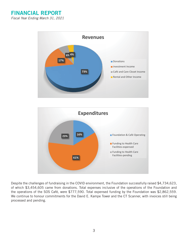FINANCIAL REPORT *Fiscal Year Ending March 31, 2021* 





Despite the challenges of fundraising in the COVID environment, the Foundation successfully raised of which \$3,454,605 came from donations. Total expenses inclusive of the operations of the Foundation and of which \$3,454,600 came from donations. Total expenses inclusive of the operations of the Foundation and the operations of the SOS Café, were \$777,590. Total expensed funding by the Foundation was \$2,862,559. the Foundation and  $\frac{1}{2}$  care  $\frac{1}{2}$ ,  $\frac{1}{2}$ ,  $\frac{1}{2}$ ,  $\frac{1}{2}$ ,  $\frac{1}{2}$ ,  $\frac{1}{2}$ ,  $\frac{1}{2}$ ,  $\frac{1}{2}$ ,  $\frac{1}{2}$ ,  $\frac{1}{2}$ ,  $\frac{1}{2}$ ,  $\frac{1}{2}$ ,  $\frac{1}{2}$ ,  $\frac{1}{2}$ ,  $\frac{1}{2}$ ,  $\frac{1}{2}$ ,  $\frac{1}{2}$ ,  $F_{\text{rad}}$  and ponding  $\mathcal{L}$  Scanner, with invoices still being processes still being processes still being processed and pending. Despite the challenges of fundraising in the COVID environment, the Foundation successfully raised \$4,734,623, We continue to honour commitments for the David E. Kampe Tower and the CT Scanner, with invoices still being processed and pending.